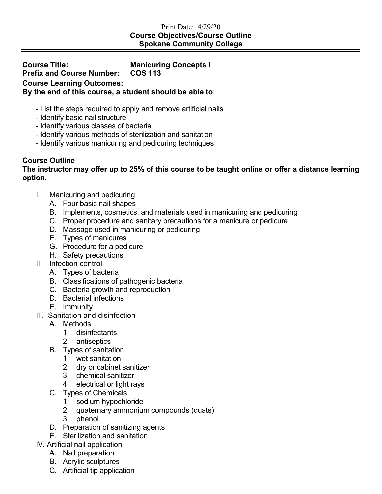## Print Date: 4/29/20 **Course Objectives/Course Outline Spokane Community College**

## **Course Title: Manicuring Concepts I Prefix and Course Number: Course Learning Outcomes:**

**By the end of this course, a student should be able to**:

- List the steps required to apply and remove artificial nails
- Identify basic nail structure
- Identify various classes of bacteria
- Identify various methods of sterilization and sanitation
- Identify various manicuring and pedicuring techniques

## **Course Outline**

## **The instructor may offer up to 25% of this course to be taught online or offer a distance learning option.**

- I. Manicuring and pedicuring
	- A. Four basic nail shapes
	- B. Implements, cosmetics, and materials used in manicuring and pedicuring
	- C. Proper procedure and sanitary precautions for a manicure or pedicure
	- D. Massage used in manicuring or pedicuring
	- E. Types of manicures
	- G. Procedure for a pedicure
	- H. Safety precautions
- II. Infection control
	- A. Types of bacteria
	- B. Classifications of pathogenic bacteria
	- C. Bacteria growth and reproduction
	- D. Bacterial infections
	- E. Immunity
- III. Sanitation and disinfection
	- A. Methods
		- 1. disinfectants
		- 2. antiseptics
	- B. Types of sanitation
		- 1. wet sanitation
		- 2. dry or cabinet sanitizer
		- 3. chemical sanitizer
		- 4. electrical or light rays
	- C. Types of Chemicals
		- 1. sodium hypochloride
		- 2. quaternary ammonium compounds (quats)
		- 3. phenol
	- D. Preparation of sanitizing agents
	- E. Sterilization and sanitation
- IV. Artificial nail application
	- A. Nail preparation
	- B. Acrylic sculptures
	- C. Artificial tip application